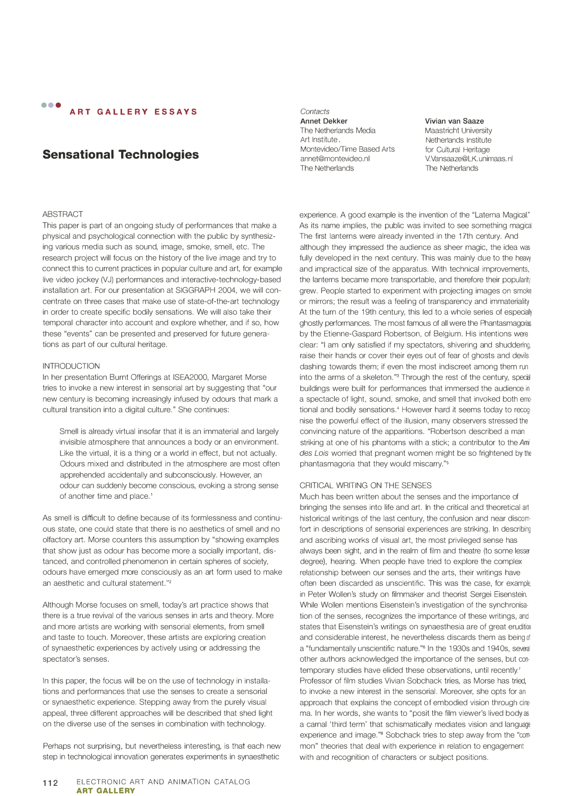

# **Sensational Technologies**

## **ABSTRACT**

This paper is part of an ongoing study of performances that make a physical and psychological connection with the public by synthesizing various media such as sound, image, smoke, smell, etc. The research project will focus on the history of the live image and try to connect this to current practices in popular culture and art, for example live video jockey (VJ) performances and interactive-technology-based installation art. For our presentation at SIGGRAPH 2004, we will concentrate on three cases that make use of state-of-the-art technology in order to create specific bodily sensations. We will also take their temporal character into account and explore whether, and if so, how these "events" can be presented and preserved for future generations as part of our cultural heritage.

### INTRODUCTION

In her presentation Burnt Offerings at ISEA2000, Margaret Morse tries to invoke a new interest in sensorial art by suggesting that "our new century is becoming increasingly infused by odours that mark a cultural transition into a digital culture." She continues:

Smell is already virtual insofar that it is an immaterial and largely invisible atmosphere that announces a body or an environment. Like the virtual, it is a thing or a world in effect, but not actually. Odours mixed and distributed in the atmosphere are most often apprehended accidentally and subconsciously. However, an odour can suddenly become conscious, evoking a strong sense of another time and place.'

As smell is difficult to define because of its formlessness and continuous state, one could state that there is no aesthetics of smell and no olfactory art. Morse counters this assumption by "showing examples that show just as odour has become more a socially important, distanced, and controlled phenomenon in certain spheres of society, odours have emerged more consciously as an art form used to make an aesthetic and cultural statement."'

Although Morse focuses on smell, today's art practice shows that there is a true revival of the various senses in arts and theory. More and more artists are working with sensorial elements, from smell and taste to touch. Moreover, these artists are exploring creation of synaesthetic experiences by actively using or addressing the spectator's senses.

In this paper, the focus will be on the use of technology in installations and performances that use the senses to create a sensorial or synaesthetic experience. Stepping away from the purely visual appeal, three different approaches will be described that shed light on the diverse use of the senses in combination with technology.

Perhaps not surprising, but nevertheless interesting, is that each new step in technological innovation generates experiments in synaesthetic

*Contacts*  **Annet Dekker**  The Netherlands Media Art Institute, Montevideo/Time Based Arts annet@montevideo.nl The Netherlands

**Vivian van Saaze** 

Maastricht University Netherlands Institute for Cultural Heritage V. Vansaaze@LK. unimaas. nl The Netherlands

experience. A good example is the invention of the "Laterna Magical" As its name implies, the public was invited to see something magical The first lanterns were already invented in the 17th century. And although they impressed the audience as sheer magic, the idea was fully developed in the next century. This was mainly due to the heavy and impractical size of the apparatus. With technical improvements, the lanterns became more transportable, and therefore their popularity grew. People started to experiment with projecting images on smoke or mirrors; the result was a feeling of transparency and immateriality. At the turn of the 19th century, this led to a whole series of especially ghostly performances. The most famous of all were the Phantasmagorias by the Etienne-Gaspard Robertson, of Belgium. His intentions were clear: "I am only satisfied if my spectators, shivering and shuddering, raise their hands or cover their eyes out of fear of ghosts and devils dashing towards them; if even the most indiscreet among them run into the arms of a skeleton."<sup>3</sup> Through the rest of the century, special buildings were built for performances that immersed the audience in a spectacle of light, sound, smoke, and smell that invoked both emotional and bodily sensations.• However hard it seems today to recog· nise the powerful effect of the illusion, many observers stressed the convincing nature of the apparitions. "Robertson described a man striking at one of his phantoms with a stick; a contributor to the *Ami des Lois* worried that pregnant women might be so frightened by the phantasmagoria that they would miscarry."<sup>5</sup>

## CRITICAL WRITING ON THE SENSES

Much has been written about the senses and the importance of bringing the senses into life and art. In the critical and theoretical art historical writings of the last century, the confusion and near discomfort in descriptions of sensorial experiences are striking. In describing and ascribing works of visual art, the most privileged sense has always been sight, and in the realm of film and theatre (to some lesser degree), hearing. When people have tried to explore the complex relationship between our senses and the arts, their writings have often been discarded as unscientific. This was the case, for example, in Peter Wollen's study on filmmaker and theorist Sergei Eisenstein. While Wollen mentions Eisenstein's investigation of the synchronisation of the senses, recognizes the importance of these writings, and states that Eisenstein's writings on synaesthesia are of great erudition and considerable interest, he nevertheless discards them as being of a "fundamentally unscientific nature."<sup>6</sup> In the 1930s and 1940s, several other authors acknowledged the importance of the senses, but contemporary studies have elided these observations, until recently.' Professor of film studies Vivian Sobchack tries, as Morse has tried, to invoke a new interest in the sensorial. Moreover, she opts for an approach that explains the concept of embodied vision through cine· ma. In her words, she wants to "posit the film viewer's lived body as a carnal 'third term' that schismatically mediates vision and language experience and image."• Sobchack tries to step away from the "common" theories that deal with experience in relation to engagement with and recognition of characters or subject positions.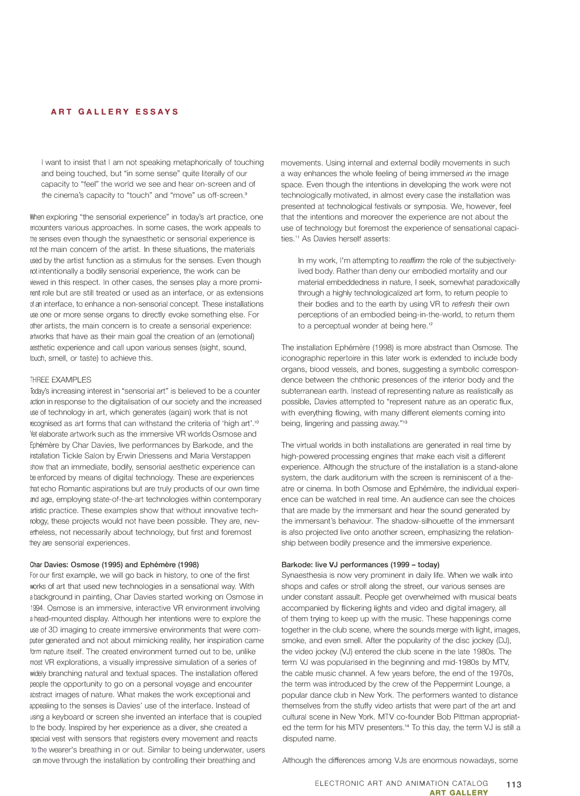# **ART GALLERY ESSAYS**

I want to insist that I am not speaking metaphorically of touching and being touched, but "in some sense" quite literally of our capacity to "feel" the world we see and hear on-screen and of the cinema's capacity to "touch" and "move" us off-screen.<sup>9</sup>

When exploring "the sensorial experience" in today's art practice, one encounters various approaches. In some cases, the work appeals to the senses even though the synaesthetic or sensorial experience is not the main concern of the artist. In these situations, the materials used by the artist function as a stimulus for the senses. Even though not intentionally a bodily sensorial experience, the work can be �ewed in this respect. In other cases, the senses play a more prominent role but are still treated or used as an interface, or as extensions of an interface, to enhance a non-sensorial concept. These installations use one or more sense organs to directly evoke something else. For other artists, the main concern is to create a sensorial experience: artworks that have as their main goal the creation of an (emotional) aesthetic experience and call upon various senses (sight, sound, touch, smell, or taste) to achieve this.

#### THREE EXAMPLES

Today's increasing interest in "sensorial art" is believed to be a counter action in response to the digitalisation of our society and the increased use of technology in art, which generates (again) work that is not recognised as art forms that can withstand the criteria of 'high art'.<sup>10</sup> Yet elaborate artwork such as the immersive VR worlds Osmose and Ephémère by Char Davies, live performances by Barkode, and the installation Tickle Salon by Erwin Driessens and Maria Verstappen show that an immediate, bodily, sensorial aesthetic experience can be enforced by means of digital technology. These are experiences that echo Romantic aspirations but are truly products of our own time and age, employing state-of-the-art technologies within contemporary artistic practice. These examples show that without innovative technology, these projects would not have been possible. They are, nevertheless, not necessarily about technology, but first and foremost they are sensorial experiences.

#### Char Davies: Osmose (1995) and Ephémère (1998)

For our first example, we will go back in history, to one of the first works of art that used new technologies in a sensational way. With a background in painting, Char Davies started working on Osmose in 1994. Osmose is an immersive, interactive VR environment involving a head-mounted display. Although her intentions were to explore the use of 30 imaging to create immersive environments that were computer generated and not about mimicking reality, her inspiration came form nature itself. The created environment turned out to be, unlike most VR explorations, a visually impressive simulation of a series of widely branching natural and textual spaces. The installation offered people the opportunity to go on a personal voyage and encounter abstract images of nature. What makes the work exceptional and appealing to the senses is Davies' use of the interface. Instead of using a keyboard or screen she invented an interface that is coupled to the body. Inspired by her experience as a diver, she created a special vest with sensors that registers every movement and reacts to the wearer's breathing in or out. Similar to being underwater, users can move through the installation by controlling their breathing and

movements. Using internal and external bodily movements in such a way enhances the whole feeling of being immersed *in* the image space. Even though the intentions in developing the work were not technologically motivated, in almost every case the installation was presented at technological festivals or symposia. We, however, feel that the intentions and moreover the experience are not about the use of technology but foremost the experience of sensational capacities." As Davies herself asserts:

In my work, I'm attempting to *reaffirm* the role of the subjectivelylived body. Rather than deny our embodied mortality and our material embeddedness in nature, I seek, somewhat paradoxically through a highly technologicalized art form, to return people to their bodies and to the earth by using VR to *refresh* their own perceptions of an embodied being-in-the-world, to return them to a perceptual wonder at being here.<sup>12</sup>

The installation Ephémère (1998) is more abstract than Osmose. The iconographic repertoire in this later work is extended to include body organs, blood vessels, and bones, suggesting a symbolic correspondence between the chthonic presences of the interior body and the subterranean earth. Instead of representing nature as realistically as possible, Davies attempted to "represent nature as an operatic flux, with everything flowing, with many different elements coming into being, lingering and passing away." **<sup>13</sup>**

The virtual worlds in both installations are generated in real time by high-powered processing engines that make each visit a different experience. Although the structure of the installation is a stand-alone system, the dark auditorium with the screen is reminiscent of a theatre or cinema. In both Osmose and Ephémère, the individual experience can be watched in real time. An audience can see the choices that are made by the immersant and hear the sound generated by the immersant's behaviour. The shadow-silhouette of the immersant is also projected live onto another screen, emphasizing the relationship between bodily presence and the immersive experience.

## **Barkode: live VJ performances (1999 - today)**

Synaesthesia is now very prominent in daily life. When we walk into shops and cafes or stroll along the street, our various senses are under constant assault. People get overwhelmed with musical beats accompanied by flickering lights and video and digital imagery, all of them trying to keep up with the music. These happenings come together in the club scene, where the sounds merge with light, images, smoke, and even smell. After the popularity of the disc jockey (DJ), the video jockey (VJ) entered the club scene in the late 1980s. The term VJ was popularised in the beginning and mid-1980s by MTV, the cable music channel. A few years before, the end of the 1970s, the term was introduced by the crew of the Peppermint Lounge, a popular dance club in New York. The performers wanted to distance themselves from the stuffy video artists that were part of the art and cultural scene in New York. MTV co-founder Bob Pittman appropriated the term for his MTV presenters.<sup>14</sup> To this day, the term VJ is still a disputed name.

Although the differences among VJs are enormous nowadays, some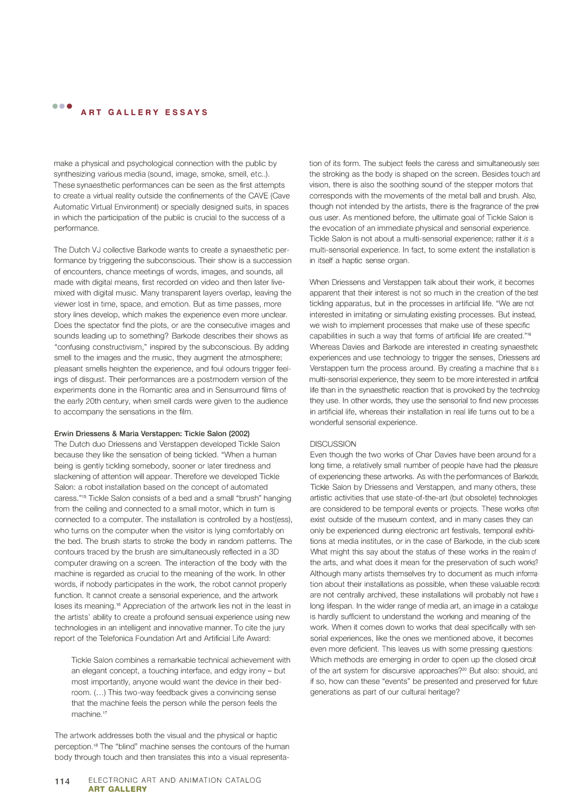#### ••• **A RT GALLERY ESSAYS**

make a physical and psychological connection with the public by synthesizing various media (sound, image, smoke, smell, etc..). These synaesthetic performances can be seen as the first attempts to create a virtual reality outside the confinements of the CAVE (Cave Automatic Virtual Environment) or specially designed suits, in spaces in which the participation of the public is crucial to the success of a performance.

The Dutch VJ collective Barkode wants to create a synaesthetic performance by triggering the subconscious. Their show is a succession of encounters, chance meetings of words, images, and sounds, all made with digital means, first recorded on video and then later livemixed with digital music. Many transparent layers overlap, leaving the viewer lost in time, space, and emotion. But as time passes, more story lines develop, which makes the experience even more unclear. Does the spectator find the plots, or are the consecutive images and sounds leading up to something? Barkode describes their shows as "confusing constructivism," inspired by the subconscious. By adding smell to the images and the music, they augment the atmosphere; pleasant smells heighten the experience, and foul odours trigger feelings of disgust. Their performances are a postmodern version of the experiments done in the Romantic area and in Sensurround films of the early 20th century, when smell cards were given to the audience to accompany the sensations in the film.

## **Erwin Driessens & Maria Verstappen: Tickle Salon (2002)**

The Dutch duo Driessens and Verstappen developed Tickle Salon because they like the sensation of being tickled. "When a human being is gently tickling somebody, sooner or later tiredness and slackening of attention will appear. Therefore we developed Tickle Salon: a robot installation based on the concept of automated caress."**15** Tickle Salon consists of a bed and a small "brush" hanging from the ceiling and connected to a small motor, which in turn is connected to a computer. The installation is controlled by a host(ess), who turns on the computer when the visitor is lying comfortably on the bed. The brush starts to stroke the body in random patterns. The contours traced by the brush are simultaneously reflected in a 3D computer drawing on a screen. The interaction of the body with the machine is regarded as crucial to the meaning of the work. In other words, if nobody participates in the work, the robot cannot properly function. It cannot create a sensorial experience, and the artwork loses its meaning.<sup>16</sup> Appreciation of the artwork lies not in the least in the artists' ability to create a profound sensual experience using new technologies in an intelligent and innovative manner. To cite the jury report of the Telefonica Foundation Art and Artificial Life Award:

Tickle Salon combines a remarkable technical achievement with an elegant concept, a touching interface, and edgy irony - but most importantly, anyone would want the device in their bedroom. (...) This two-way feedback gives a convincing sense that the machine feels the person while the person feels the machine.<sup>17</sup>

The artwork addresses both the visual and the physical or haptic perception.18 The "blind" machine senses the contours of the human body through touch and then translates this into a visual representa-

**114** ELECTRONIC ART AND ANIMATION CATALOG **ART GALLERY** 

tion of its form. The subject feels the caress and simultaneously sees the stroking as the body is shaped on the screen. Besides touch and vision, there is also the soothing sound of the stepper motors that corresponds with the movements of the metal ball and brush. Also, though not intended by the artists, there is the fragrance of the previ· ous user. As mentioned before, the ultimate goal of Tickle Salon is the evocation of an immediate physical and sensorial experience. Tickle Salon is not about a multi-sensorial experience; rather it is a multi-sensorial experience. In fact, to some extent the installation is in itself a haptic sense organ.

When Driessens and Verstappen talk about their work, it becomes apparent that their interest is not so much in the creation of the best tickling apparatus, but in the processes in artificial life. "We are not interested in imitating or simulating existing processes. But instead, we wish to implement processes that make use of these specific capabilities in such a way that forms of artificial life are created."" Whereas Davies and Barkode are interested in creating synaesthetic experiences and use technology to trigger the senses, Driessens and Verstappen turn the process around. By creating a machine that is a multi-sensorial experience, they seem to be more interested in artificial life than in the synaesthetic reaction that is provoked by the technology they use. In other words, they use the sensorial to find new processes in artificial life, whereas their installation in real life turns out to be a wonderful sensorial experience.

#### DISCUSSION

Even though the two works of Char Davies have been around for a long time, a relatively small number of people have had the pleasure of experiencing these artworks. As with the performances of Barkode, Tickle Salon by Driessens and Verstappen, and many others, these artistic activities that use state-of-the-art (but obsolete) technologies are considered to be temporal events or projects. These works often exist outside of the museum context, and in many cases they can only be experienced during electronic art festivals, temporal exhibitions at media institutes, or in the case of Barkode, in the club scene. What might this say about the status of these works in the realm of the arts, and what does it mean for the preservation of such works? Although many artists themselves try to document as much information about their installations as possible, when these valuable records are not centrally archived, these installations will probably not have a long lifespan. In the wider range of media art, an image in a catalogue is hardly sufficient to understand the working and meaning of the work. When it comes down to works that deal specifically with sensorial experiences, like the ones we mentioned above, it becomes even more deficient. This leaves us with some pressing questions: Which methods are emerging in order to open up the closed circuit of the art system for discursive approaches?<sup>20</sup> But also: should, and if so, how can these "events" be presented and preserved for future generations as part of our cultural heritage?